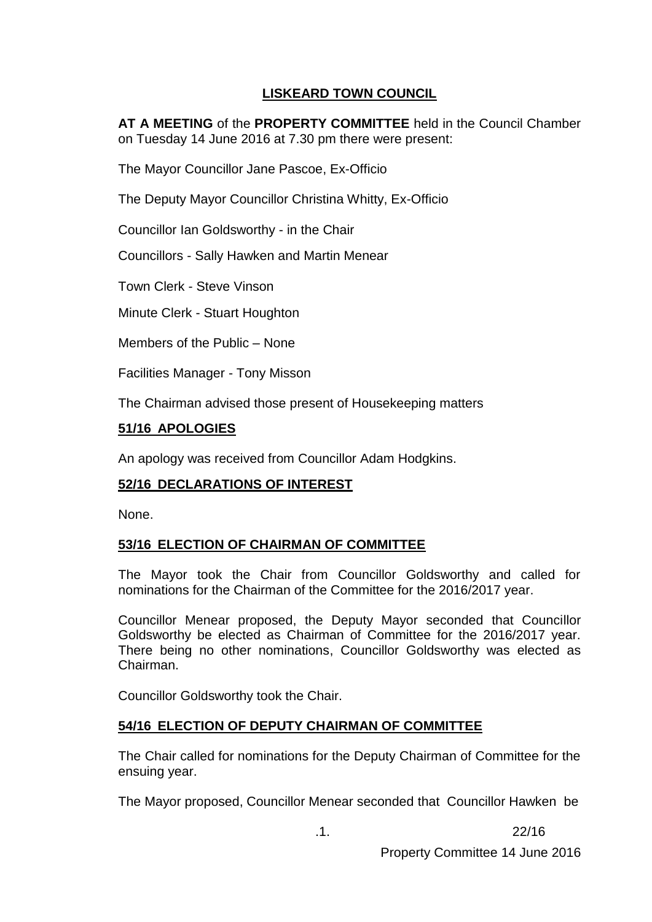# **LISKEARD TOWN COUNCIL**

**AT A MEETING** of the **PROPERTY COMMITTEE** held in the Council Chamber on Tuesday 14 June 2016 at 7.30 pm there were present:

The Mayor Councillor Jane Pascoe, Ex-Officio

The Deputy Mayor Councillor Christina Whitty, Ex-Officio

Councillor Ian Goldsworthy - in the Chair

Councillors - Sally Hawken and Martin Menear

Town Clerk - Steve Vinson

Minute Clerk - Stuart Houghton

Members of the Public – None

Facilities Manager - Tony Misson

The Chairman advised those present of Housekeeping matters

## **51/16 APOLOGIES**

An apology was received from Councillor Adam Hodgkins.

## **52/16 DECLARATIONS OF INTEREST**

None.

## **53/16 ELECTION OF CHAIRMAN OF COMMITTEE**

The Mayor took the Chair from Councillor Goldsworthy and called for nominations for the Chairman of the Committee for the 2016/2017 year.

Councillor Menear proposed, the Deputy Mayor seconded that Councillor Goldsworthy be elected as Chairman of Committee for the 2016/2017 year. There being no other nominations, Councillor Goldsworthy was elected as Chairman.

Councillor Goldsworthy took the Chair.

### **54/16 ELECTION OF DEPUTY CHAIRMAN OF COMMITTEE**

The Chair called for nominations for the Deputy Chairman of Committee for the ensuing year.

The Mayor proposed, Councillor Menear seconded that Councillor Hawken be

.1. 22/16

Property Committee 14 June 2016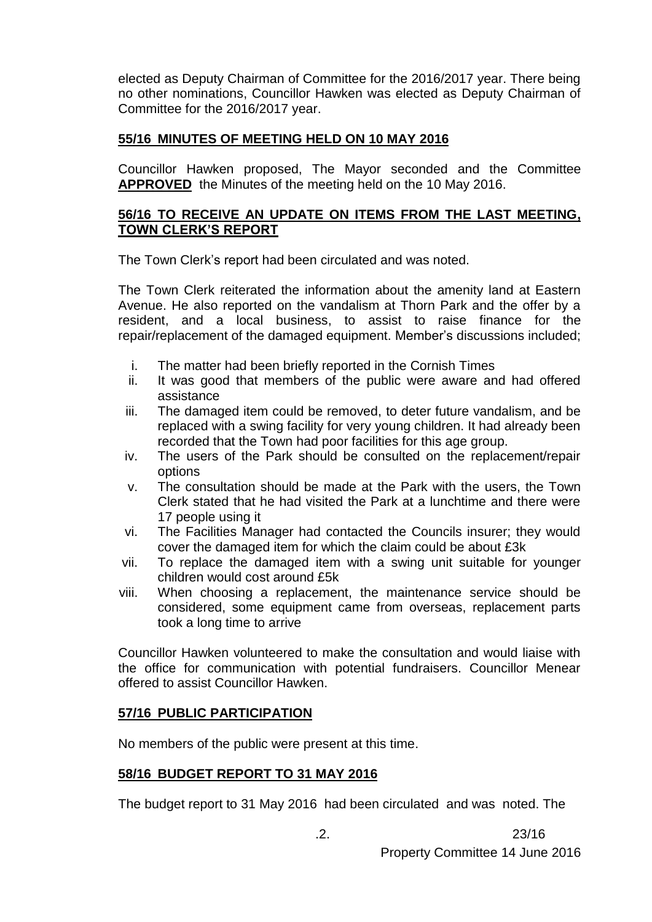elected as Deputy Chairman of Committee for the 2016/2017 year. There being no other nominations, Councillor Hawken was elected as Deputy Chairman of Committee for the 2016/2017 year.

### **55/16 MINUTES OF MEETING HELD ON 10 MAY 2016**

Councillor Hawken proposed, The Mayor seconded and the Committee **APPROVED** the Minutes of the meeting held on the 10 May 2016.

### **56/16 TO RECEIVE AN UPDATE ON ITEMS FROM THE LAST MEETING, TOWN CLERK'S REPORT**

The Town Clerk's report had been circulated and was noted.

The Town Clerk reiterated the information about the amenity land at Eastern Avenue. He also reported on the vandalism at Thorn Park and the offer by a resident, and a local business, to assist to raise finance for the repair/replacement of the damaged equipment. Member's discussions included;

- i. The matter had been briefly reported in the Cornish Times
- ii. It was good that members of the public were aware and had offered assistance
- iii. The damaged item could be removed, to deter future vandalism, and be replaced with a swing facility for very young children. It had already been recorded that the Town had poor facilities for this age group.
- iv. The users of the Park should be consulted on the replacement/repair options
- v. The consultation should be made at the Park with the users, the Town Clerk stated that he had visited the Park at a lunchtime and there were 17 people using it
- vi. The Facilities Manager had contacted the Councils insurer; they would cover the damaged item for which the claim could be about £3k
- vii. To replace the damaged item with a swing unit suitable for younger children would cost around £5k
- viii. When choosing a replacement, the maintenance service should be considered, some equipment came from overseas, replacement parts took a long time to arrive

Councillor Hawken volunteered to make the consultation and would liaise with the office for communication with potential fundraisers. Councillor Menear offered to assist Councillor Hawken.

### **57/16 PUBLIC PARTICIPATION**

No members of the public were present at this time.

### **58/16 BUDGET REPORT TO 31 MAY 2016**

The budget report to 31 May 2016 had been circulated and was noted. The

 $.2.$  23/16

Property Committee 14 June 2016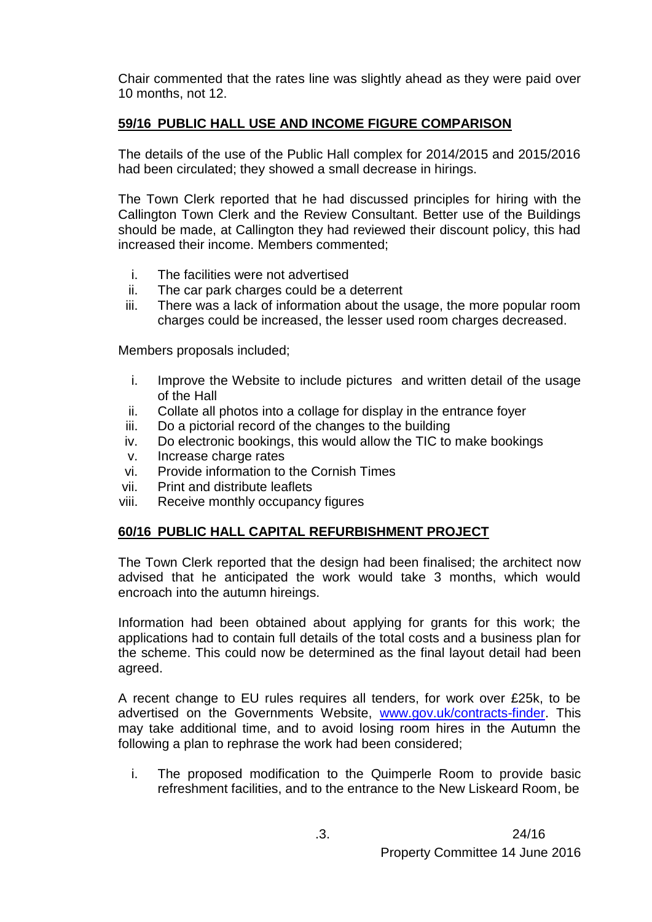Chair commented that the rates line was slightly ahead as they were paid over 10 months, not 12.

# **59/16 PUBLIC HALL USE AND INCOME FIGURE COMPARISON**

The details of the use of the Public Hall complex for 2014/2015 and 2015/2016 had been circulated; they showed a small decrease in hirings.

The Town Clerk reported that he had discussed principles for hiring with the Callington Town Clerk and the Review Consultant. Better use of the Buildings should be made, at Callington they had reviewed their discount policy, this had increased their income. Members commented;

- i. The facilities were not advertised
- ii. The car park charges could be a deterrent
- iii. There was a lack of information about the usage, the more popular room charges could be increased, the lesser used room charges decreased.

Members proposals included;

- i. Improve the Website to include pictures and written detail of the usage of the Hall
- ii. Collate all photos into a collage for display in the entrance foyer
- iii. Do a pictorial record of the changes to the building
- iv. Do electronic bookings, this would allow the TIC to make bookings
- v. Increase charge rates
- vi. Provide information to the Cornish Times
- vii. Print and distribute leaflets
- viii. Receive monthly occupancy figures

## **60/16 PUBLIC HALL CAPITAL REFURBISHMENT PROJECT**

The Town Clerk reported that the design had been finalised; the architect now advised that he anticipated the work would take 3 months, which would encroach into the autumn hireings.

Information had been obtained about applying for grants for this work; the applications had to contain full details of the total costs and a business plan for the scheme. This could now be determined as the final layout detail had been agreed.

A recent change to EU rules requires all tenders, for work over £25k, to be advertised on the Governments Website, [www.gov.uk/contracts-finder.](http://www.gov.uk/contracts-finder) This may take additional time, and to avoid losing room hires in the Autumn the following a plan to rephrase the work had been considered;

i. The proposed modification to the Quimperle Room to provide basic refreshment facilities, and to the entrance to the New Liskeard Room, be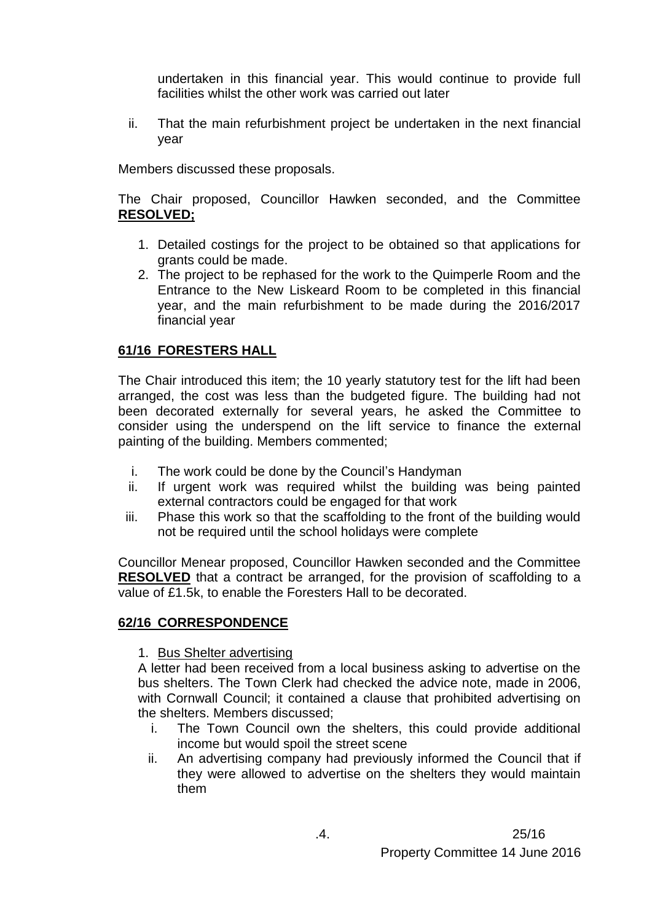undertaken in this financial year. This would continue to provide full facilities whilst the other work was carried out later

ii. That the main refurbishment project be undertaken in the next financial year

Members discussed these proposals.

The Chair proposed, Councillor Hawken seconded, and the Committee **RESOLVED;**

- 1. Detailed costings for the project to be obtained so that applications for grants could be made.
- 2. The project to be rephased for the work to the Quimperle Room and the Entrance to the New Liskeard Room to be completed in this financial year, and the main refurbishment to be made during the 2016/2017 financial year

### **61/16 FORESTERS HALL**

The Chair introduced this item; the 10 yearly statutory test for the lift had been arranged, the cost was less than the budgeted figure. The building had not been decorated externally for several years, he asked the Committee to consider using the underspend on the lift service to finance the external painting of the building. Members commented;

- i. The work could be done by the Council's Handyman
- ii. If urgent work was required whilst the building was being painted external contractors could be engaged for that work
- iii. Phase this work so that the scaffolding to the front of the building would not be required until the school holidays were complete

Councillor Menear proposed, Councillor Hawken seconded and the Committee **RESOLVED** that a contract be arranged, for the provision of scaffolding to a value of £1.5k, to enable the Foresters Hall to be decorated.

### **62/16 CORRESPONDENCE**

### 1. Bus Shelter advertising

A letter had been received from a local business asking to advertise on the bus shelters. The Town Clerk had checked the advice note, made in 2006, with Cornwall Council; it contained a clause that prohibited advertising on the shelters. Members discussed;

- i. The Town Council own the shelters, this could provide additional income but would spoil the street scene
- ii. An advertising company had previously informed the Council that if they were allowed to advertise on the shelters they would maintain them